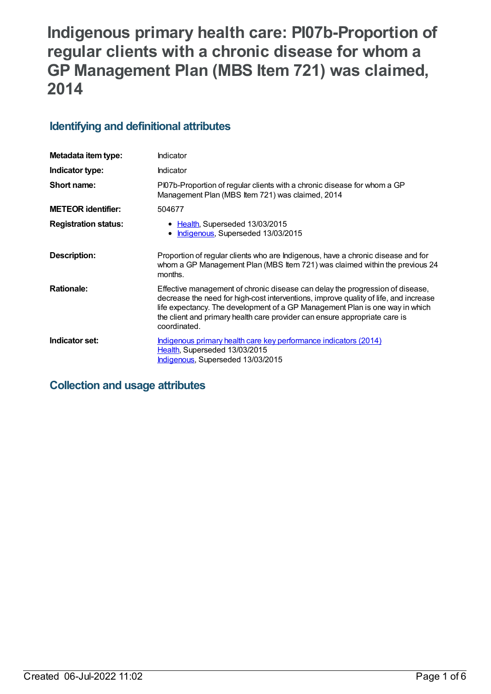# **Indigenous primary health care: PI07b-Proportion of regular clients with a chronic disease for whom a GP Management Plan (MBS Item 721) was claimed, 2014**

## **Identifying and definitional attributes**

| Metadata item type:         | Indicator                                                                                                                                                                                                                                                                                                                                           |
|-----------------------------|-----------------------------------------------------------------------------------------------------------------------------------------------------------------------------------------------------------------------------------------------------------------------------------------------------------------------------------------------------|
| Indicator type:             | Indicator                                                                                                                                                                                                                                                                                                                                           |
| Short name:                 | Pl07b-Proportion of regular clients with a chronic disease for whom a GP<br>Management Plan (MBS Item 721) was claimed, 2014                                                                                                                                                                                                                        |
| <b>METEOR identifier:</b>   | 504677                                                                                                                                                                                                                                                                                                                                              |
| <b>Registration status:</b> | • Health, Superseded 13/03/2015<br>Indigenous, Superseded 13/03/2015                                                                                                                                                                                                                                                                                |
| Description:                | Proportion of regular clients who are Indigenous, have a chronic disease and for<br>whom a GP Management Plan (MBS Item 721) was claimed within the previous 24<br>months.                                                                                                                                                                          |
| <b>Rationale:</b>           | Effective management of chronic disease can delay the progression of disease,<br>decrease the need for high-cost interventions, improve quality of life, and increase<br>life expectancy. The development of a GP Management Plan is one way in which<br>the client and primary health care provider can ensure appropriate care is<br>coordinated. |
| Indicator set:              | Indigenous primary health care key performance indicators (2014)<br>Health, Superseded 13/03/2015<br>Indigenous, Superseded 13/03/2015                                                                                                                                                                                                              |

## **Collection and usage attributes**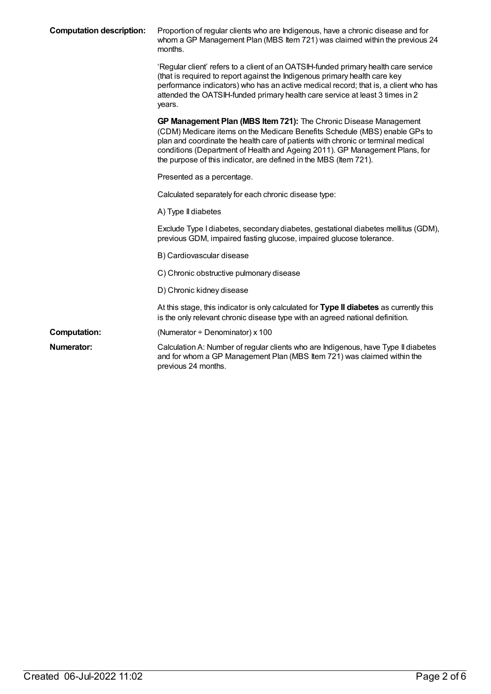| <b>Computation description:</b> | Proportion of regular clients who are Indigenous, have a chronic disease and for<br>whom a GP Management Plan (MBS Item 721) was claimed within the previous 24<br>months.                                                                                                                                                                                                              |
|---------------------------------|-----------------------------------------------------------------------------------------------------------------------------------------------------------------------------------------------------------------------------------------------------------------------------------------------------------------------------------------------------------------------------------------|
|                                 | 'Regular client' refers to a client of an OATSIH-funded primary health care service<br>(that is required to report against the Indigenous primary health care key<br>performance indicators) who has an active medical record; that is, a client who has<br>attended the OATSIH-funded primary health care service at least 3 times in 2<br>years.                                      |
|                                 | GP Management Plan (MBS Item 721): The Chronic Disease Management<br>(CDM) Medicare items on the Medicare Benefits Schedule (MBS) enable GPs to<br>plan and coordinate the health care of patients with chronic or terminal medical<br>conditions (Department of Health and Ageing 2011). GP Management Plans, for<br>the purpose of this indicator, are defined in the MBS (Item 721). |
|                                 | Presented as a percentage.                                                                                                                                                                                                                                                                                                                                                              |
|                                 | Calculated separately for each chronic disease type:                                                                                                                                                                                                                                                                                                                                    |
|                                 | A) Type II diabetes                                                                                                                                                                                                                                                                                                                                                                     |
|                                 | Exclude Type I diabetes, secondary diabetes, gestational diabetes mellitus (GDM),<br>previous GDM, impaired fasting glucose, impaired glucose tolerance.                                                                                                                                                                                                                                |
|                                 | B) Cardiovascular disease                                                                                                                                                                                                                                                                                                                                                               |
|                                 | C) Chronic obstructive pulmonary disease                                                                                                                                                                                                                                                                                                                                                |
|                                 | D) Chronic kidney disease                                                                                                                                                                                                                                                                                                                                                               |
|                                 | At this stage, this indicator is only calculated for Type II diabetes as currently this<br>is the only relevant chronic disease type with an agreed national definition.                                                                                                                                                                                                                |
| <b>Computation:</b>             | (Numerator $\div$ Denominator) x 100                                                                                                                                                                                                                                                                                                                                                    |
| Numerator:                      | Calculation A: Number of regular clients who are Indigenous, have Type II diabetes<br>and for whom a GP Management Plan (MBS Item 721) was claimed within the<br>previous 24 months.                                                                                                                                                                                                    |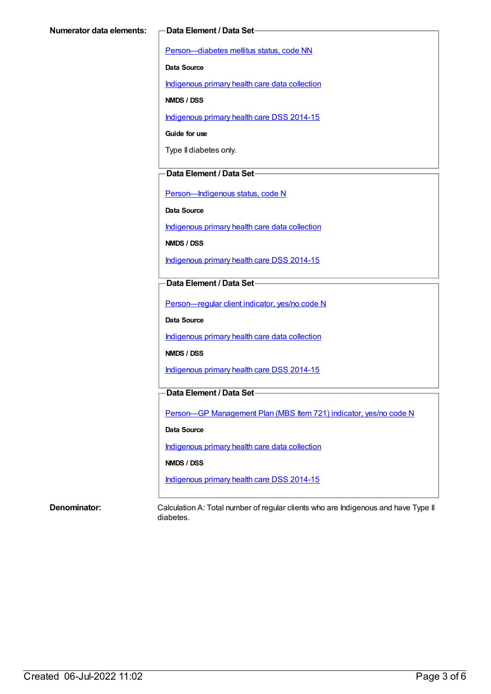[Person—diabetes](https://meteor.aihw.gov.au/content/270194) mellitus status, code NN

**Data Source**

[Indigenous](https://meteor.aihw.gov.au/content/430643) primary health care data collection

**NMDS / DSS**

[Indigenous](https://meteor.aihw.gov.au/content/504325) primary health care DSS 2014-15

**Guide for use**

Type II diabetes only.

#### **Data Element / Data Set**

[Person—Indigenous](https://meteor.aihw.gov.au/content/291036) status, code N

**Data Source**

[Indigenous](https://meteor.aihw.gov.au/content/430643) primary health care data collection

**NMDS / DSS**

[Indigenous](https://meteor.aihw.gov.au/content/504325) primary health care DSS 2014-15

#### **Data Element / Data Set**

[Person—regular](https://meteor.aihw.gov.au/content/436639) client indicator, yes/no code N

**Data Source**

[Indigenous](https://meteor.aihw.gov.au/content/430643) primary health care data collection

**NMDS / DSS**

[Indigenous](https://meteor.aihw.gov.au/content/504325) primary health care DSS 2014-15

### **Data Element / Data Set**

Person-GP [Management](https://meteor.aihw.gov.au/content/504966) Plan (MBS Item 721) indicator, yes/no code N

**Data Source**

[Indigenous](https://meteor.aihw.gov.au/content/430643) primary health care data collection

**NMDS / DSS**

[Indigenous](https://meteor.aihw.gov.au/content/504325) primary health care DSS 2014-15

**Denominator:** Calculation A: Total number of regular clients who are Indigenous and have Type II diabetes.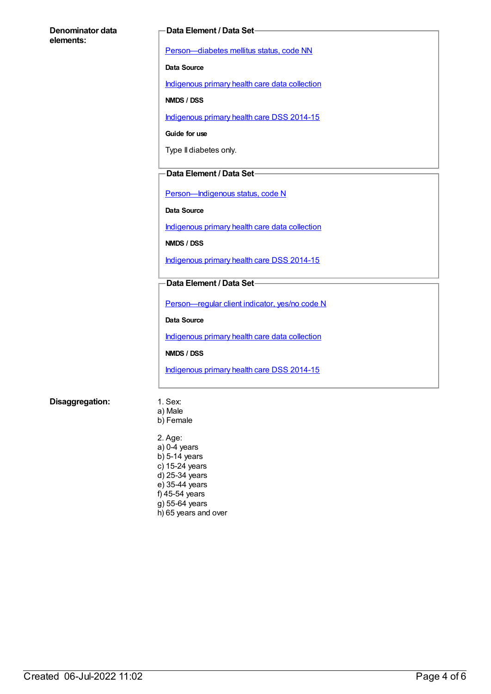#### **Denominator data elements:**

#### **Data Element / Data Set**

[Person—diabetes](https://meteor.aihw.gov.au/content/270194) mellitus status, code NN

**Data Source**

[Indigenous](https://meteor.aihw.gov.au/content/430643) primary health care data collection

**NMDS / DSS**

[Indigenous](https://meteor.aihw.gov.au/content/504325) primary health care DSS 2014-15

**Guide for use**

Type II diabetes only.

#### **Data Element / Data Set**

Person-Indigenous status, code N

**Data Source**

[Indigenous](https://meteor.aihw.gov.au/content/430643) primary health care data collection

**NMDS / DSS**

[Indigenous](https://meteor.aihw.gov.au/content/504325) primary health care DSS 2014-15

#### **Data Element / Data Set**

[Person—regular](https://meteor.aihw.gov.au/content/436639) client indicator, yes/no code N

**Data Source**

[Indigenous](https://meteor.aihw.gov.au/content/430643) primary health care data collection

**NMDS / DSS**

[Indigenous](https://meteor.aihw.gov.au/content/504325) primary health care DSS 2014-15

#### **Disaggregation:** 1. Sex:

- a) Male
- b) Female

2. Age: a) 0-4 years  $b)$  5-14 years c) 15-24 years d) 25-34 years e) 35-44 years f) 45-54 years  $g$ ) 55-64 years h) 65 years and over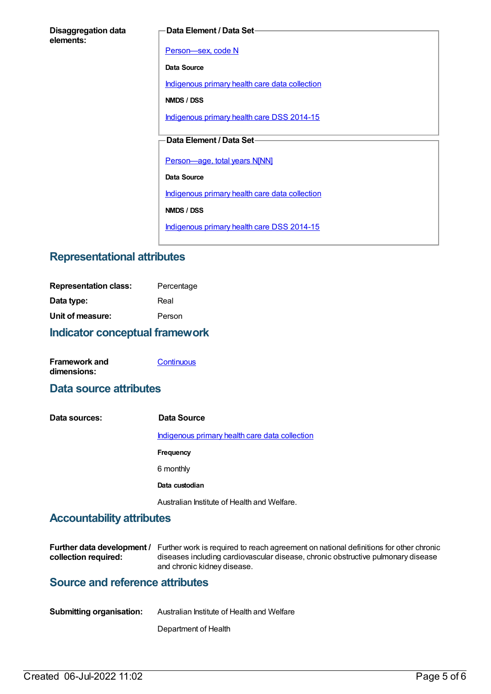#### **Data Element / Data Set**

[Person—sex,](https://meteor.aihw.gov.au/content/287316) code N

**Data Source**

[Indigenous](https://meteor.aihw.gov.au/content/430643) primary health care data collection

**NMDS / DSS**

[Indigenous](https://meteor.aihw.gov.au/content/504325) primary health care DSS 2014-15

### **Data Element / Data Set**

[Person—age,](https://meteor.aihw.gov.au/content/303794) total years N[NN]

**Data Source**

[Indigenous](https://meteor.aihw.gov.au/content/430643) primary health care data collection

**NMDS / DSS**

[Indigenous](https://meteor.aihw.gov.au/content/504325) primary health care DSS 2014-15

## **Representational attributes**

| Indicator conceptual framework |            |  |
|--------------------------------|------------|--|
| Unit of measure:               | Person     |  |
| Data type:                     | Real       |  |
| <b>Representation class:</b>   | Percentage |  |

| <b>Framework and</b> | Continuous |
|----------------------|------------|
| dimensions:          |            |

## **Data source attributes**

**Data sources: Data Source** [Indigenous](https://meteor.aihw.gov.au/content/430643) primary health care data collection **Frequency** 6 monthly **Data custodian** Australian Institute of Health and Welfare.

## **Accountability attributes**

|                      | <b>Further data development</b> / Further work is required to reach agreement on national definitions for other chronic |
|----------------------|-------------------------------------------------------------------------------------------------------------------------|
| collection required: | diseases including cardiovascular disease, chronic obstructive pulmonary disease                                        |
|                      | and chronic kidney disease.                                                                                             |

## **Source and reference attributes**

Department of Health